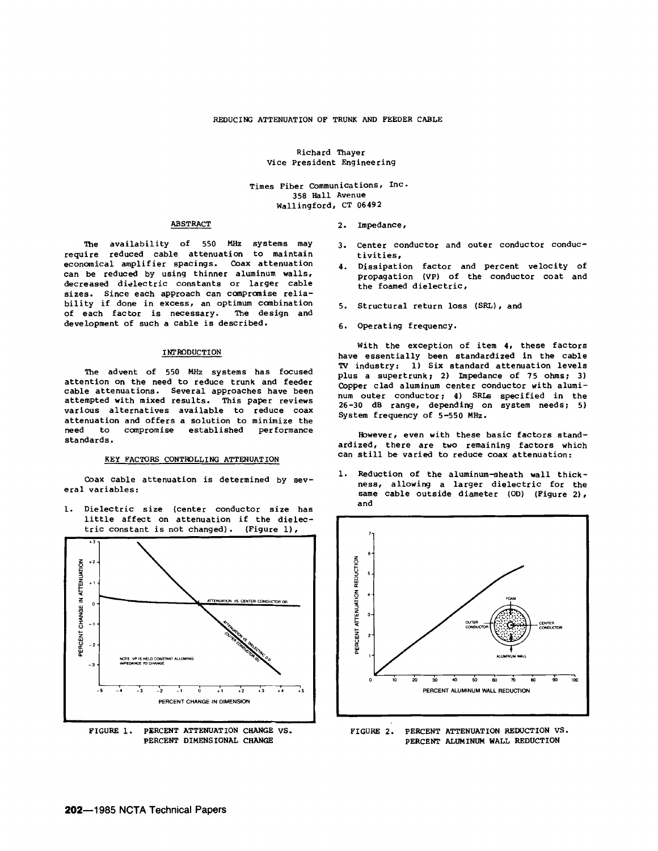Richard Thayer Vice President Engineering

Times Fiber Communications, Inc. 358 Hall Avenue Wallingford, CT 06492

#### ABSTRACT

The availability of 550 MHz systems may require reduced cable attenuation to maintain economical amplifier spacings. Coax attenuation can be reduced by using thinner aluminum walls, decreased dielectric constants or larger cable sizes. Since each approach can compromise reliability if done in excess, an optimum combination of each factor is necessary. The design and development of such a cable is described.

#### INI'RODUCTION

The advent of 550 MHz systems has focused attention on the need to reduce trunk and feeder cable attenuations. Several approaches have been attempted with mixed results. This paper reviews various alternatives available to reduce coax attenuation and offers a solution to minimize the need to compromise established performance standards.

#### KEY FACTORS CONTROLLING ATTENUATION

Coax cable attenuation is determined by several variables:

1. Dielectric size (center conductor size has little affect on attenuation if the dielec-<br>tric constant is not changed). (Figure 1), tric constant is not changed).



- 3. center conductor and outer conductor conductivities,
- Dissipation factor and percent velocity of propagation (VP) of the conductor coat and the foamed dielectric,
- 5. Structural return loss (SRL), and
- 6. Operating frequency.

2. Impedance,

With the exception of item 4, these factors have essentially been standardized in the cable TV industry: 1) Six standard attenuation levels plus a supertrunk; 2) Impedance of 75 ohms; 3) Copper clad aluminum center conductor with aluminum outer conductor; 4) SRLs specified in the 26-30 dB range, depending on system needs; 5) System frequency of 5-550 MHz.

However, even with these basic factors standardized, there are two remaining factors which can still be varied to reduce coax attenuation:

1. Reduction of the aluminum-sheath wall thickness, allowing a larger dielectric for the same cable outside diameter (OD) (Figure 2), and



FIGURE 2. PERcENT ATTENUATION REDUCTION VS. PERCENT ALUMINUM WALL REDUCTION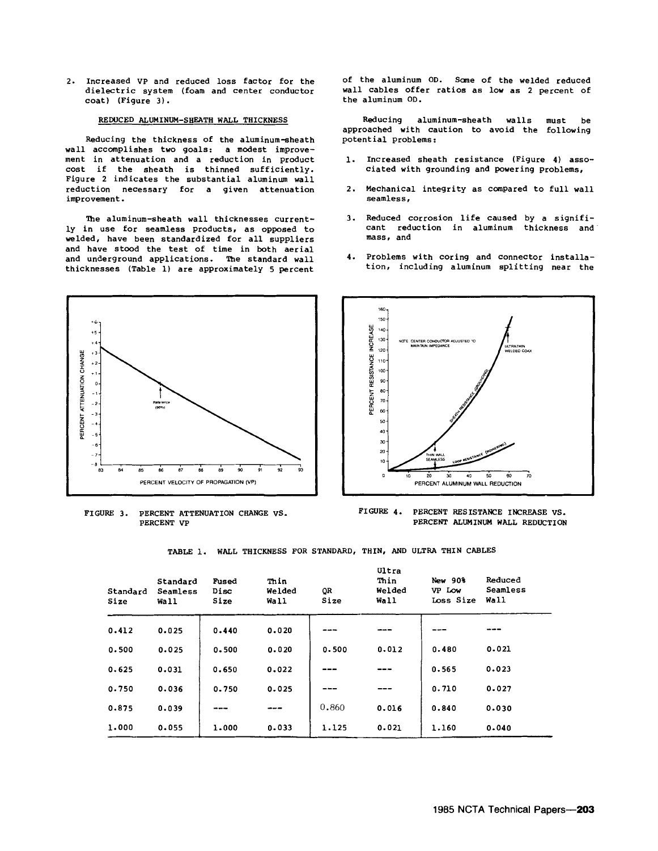2. Increased VP and reduced loss factor for the dielectric system (foam and center conductor coat) (Figure 3) •

## REDUCED ALUMINUM-SHEATH WALL THICKNESS

Reducing the thickness of the aluminum-sheath wall accomplishes two goals: a modest improvement in attenuation and a reduction in product cost if the sheath is thinned sufficiently. Figure 2 indicates the substantial aluminum wall reduction necessary for a given attenuation improvement.

The aluminum-sheath wall thicknesses currently in use for seamless products, as opposed to welded, have been standardized for all suppliers and have stood the test of time in both aerial and underground applications. The standard wall thicknesses (Table 1) are approximately 5 percent



FIGURE 3. PERCENT ATTENUATION CHANGE VS. PERCENT VP

of the aluminum OD. Sane of the welded reduced wall cables offer ratios as low as 2 percent of the aluminum OD.

Reducing aluminum-sheath walls approached with caution to avoid the following potential problems: must be

- 1. Increased sheath resistance (Figure 4) associated with grounding and powering problems,
- 2. Mechanical integrity as compared to full wall seamless,
- 3. Reduced corrosion life caused by a significant reduction in aluminum thickness and mass, and
- 4. Problems with coring and connector installation, including aluminum splitting near the



FIGURE 4. PERCENT RESISTANCE INCREASE VS. PERCENT ALUMINUM WALL REDUCTION

TABLE 1. WALL THICKNESS FOR STANDARD, THIN, AND ULTRA THIN CABLES

| Standard<br>Size | Standard<br>Seamless<br>Wall | Fused<br>Disc<br>Size | Thin<br>Welded<br>Wall | QR<br>Size | Ultra<br>Thin<br>Welded<br>Wall | New 90%<br>VP Low<br>Loss Size | Reduced<br>Seamless<br>Wall |
|------------------|------------------------------|-----------------------|------------------------|------------|---------------------------------|--------------------------------|-----------------------------|
| 0.412            | 0.025                        | 0.440                 | 0.020                  |            |                                 |                                |                             |
| 0.500            | 0.025                        | 0.500                 | 0.020                  | 0.500      | 0.012                           | 0.480                          | 0.021                       |
| 0.625            | 0.031                        | 0.650                 | 0.022                  |            |                                 | 0.565                          | 0.023                       |
| 0.750            | 0.036                        | 0.750                 | 0.025                  |            |                                 | 0.710                          | 0.027                       |
| 0.875            | 0.039                        |                       |                        | 0,860      | 0.016                           | 0.840                          | 0.030                       |
| 1.000            | 0.055                        | 1.000                 | 0.033                  | 1.125      | 0.021                           | 1.160                          | 0.040                       |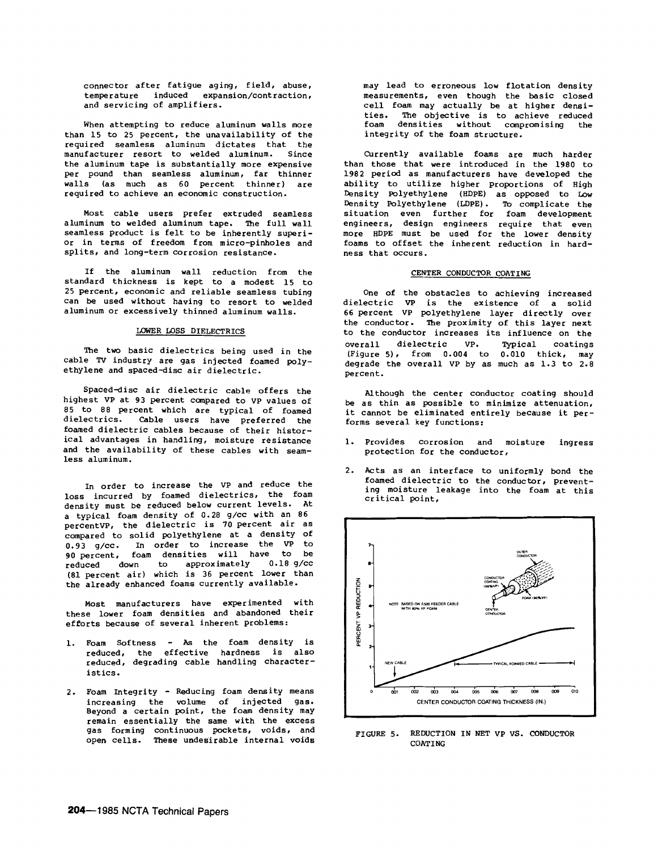connector after fatigue aging, field, abuse, temperature induced expansion/contraction, and servicing of amplifiers.

When attempting to reduce aluminum walls more than 15 to 25 percent, the unavailability of the required seamless aluminum dictates that the manufacturer resort to welded aluminum. Since the aluminum tape is substantially more expensive per pound than seamless aluminum, far thinner walls (as much as 60 percent thinner) are required to achieve an economic construction.

Most cable users prefer extruded seamless aluminum to welded aluminum tape. The full wall seamless product is felt to be inherently superior in terms of freedom from micro-pinholes and splits, and long-term corrosion resistance.

If the aluminum wall reduction from the standard thickness is kept to a modest 15 to 25 percent, economic and reliable seamless tubing can be used without having to resort to welded aluminum or excessively thinned aluminum walls.

#### LOWER LOSS DIELECTRICS

The two basic dielectrics being used in the cable TV industry are gas injected foamed polyethylene and spaced-disc air dielectric.

Spaced-disc air dielectric cable offers the highest VP at 93 percent compared to VP values of 85 to 88 percent which are typical of foamed dielectrics. Cable users have preferred the foamed dielectric cables because of their historical advantages in handling, moisture resistance and the availability of these cables with seamless aluminum.

In order to increase the VP and reduce the loss incurred by foamed dielectrics, the foam density must be reduced below current levels. At a typical foam density of 0.28 g/cc with an 86 percentVP, the dielectric is 70 percent air as compared to solid polyethylene at a density of 0.93 g/cc. In order to increase the VP to 90 percent, foam densities will have to be reduced down to approximately 0.18 g/cc (81 percent air) which is 36 percent lower than the already enhanced foams currently available.

Most manufacturers have experimented with these lower foam densities and abandoned their efforts because of several inherent problems:

- 1. Foam Softness As the foam density is reduced, the effective hardness is also reduced, degrading cable handling characteristics.
- 2. Foam Integrity Reducing foam density means increasing the volume of injected gas. Beyond a certain point, the foam density may remain essentially the same with the excess gas forming continuous pockets, voids, and open cells. These undesirable internal voids

may lead to erroneous low flotation density measurements, even though the basic closed cell foam may actually be at higher densities. The objective is to achieve reduced<br>foam densities without compromising the foam densities without compromising integrity of the foam structure.

Currently available foams are much harder than those that were introduced in the 1980 to 1982 period as manufacturers have developed the ability to utilize higher proportions of High Density Polyethylene (HDPE) as opposed to Low Density Polyethylene (LDPE) • 'Ib complicate the situation even further for foam development engineers, design engineers require that even more HDPE must be used for the lower density foams to offset the inherent reduction in hardness that occurs.

## CENTER CONDUCTOR COATING

One of the obstacles to achieving increased dielectric VP is the existence of a solid 66 percent VP polyethylene layer directly over the conductor. 'Ihe proximity of this layer next to the conductor increases its influence on the overall dielectric VP. Typical coatings (Figure 5), from 0.004 to 0.010 thick, may degrade the overall VP by as much as 1.3 to 2.8 percent.

Although the center conductor coating should be as thin as possible to minimize attenuation, it cannot be eliminated entirely because it performs several key functions:

- 1. Provides corrosion and moisture protection for the conductor, ingress
- 2. Acts as an interface to uniformly bond the foamed dielectric to the conductor, preventing moisture leakage into the foam at this critical point,



FIGURE 5. REDUCTION IN NET VP VS. CONDUCTOR **COATING**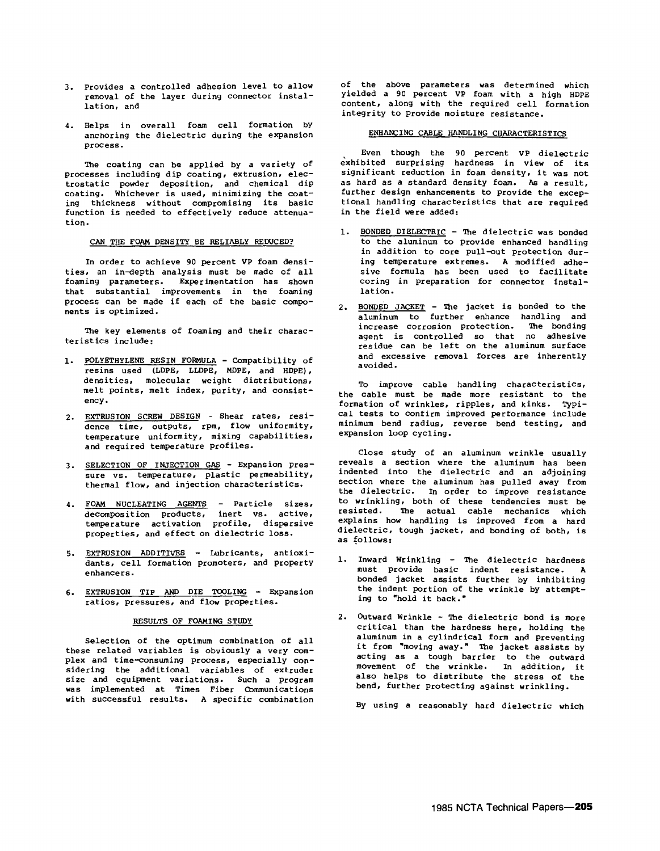- 3. Provides a controlled adhesion level to allow removal of the layer during connector installation, and
- 4. Helps in overall foam cell formation by anchoring the dielectric during the expansion process.

The coating can be applied by a variety of processes including dip coating, extrusion, electrostatic powder deposition, and chemical dip coating. Whichever is used, minimizing the coating thickness without compromising its basic function is needed to effectively reduce attenuation.

#### CAN THE FOAM DENSITY BE RELIABLY REDUCED?

In order to achieve 90 percent VP foam densities, an in-depth analysis must be made of all foaming parameters. Experimentation has shown that substantial improvements in the foaming process can be made if each of the basic components is optimized.

The key elements of foaming and their characteristics include:

- 1. POLYETHYLENE RESIN FORMULA Compatibility of resins used (LOPE, LLDPE, MOPE, and HOPE), densities, molecular weight distributions, melt points, melt index, purity, and consistency.
- 2. EXTRUSION SCREW DESIGN Shear rates, residence time, outputs, rpm, flow uniformity, temperature uniformity, mixing capabilities, and required temperature profiles.
- 3. SELECTION OF INJECTION GAS Expansion pressure vs. temperature, plastic permeability, thermal flow, and injection characteristics.
- 4. FOAM NUCLEATING AGENTS Particle sizes, decomposition products, inert vs. active, temperature activation profile, dispersive properties, and effect on dielectric loss.
- 5. EXTRUSION ADDITIVES Lubricants, antioxidants, cell formation promoters, and property enhancers.
- 6. EXTRUSION TIP AND DIE TOOLING Expansion ratios, pressures, and flow properties.

## RESULTS OF FOAMING STUDY

Selection of the optimum combination of all these related variables is obviously a very complex and time-consuming process, especially considering the additional variables of extruder size and equipment variations. Such a program was implemented at Times Fiber Communications with successful results. A specific combination

of the above parameters was determined which yielded a 90 percent VP foam with a high HOPE content, along with the required cell formation integrity to Provide moisture resistance.

## ENHANCING CABLE HANDLING CHARACTERISTICS

Even though the 90 percent VP dielectric exhibited surprising hardness in view of its significant reduction in foam density, it was not as hard as a standard density foam. As a result, further design enhancements to provide the exceptional handling characteristics that are required in the field were added:

- 1. BONDED DIELECTRIC The dielectric was bonded to the aluminum to provide enhanced handling in addition to core pull-out protection during temperature extremes. A modified adhesive formula has been used to facilitate coring in preparation for connector installation.
- 2. BONDED JACKET The jacket is bonded to the aluminum to further enhance handling and increase corrosion protection. The bonding agent is controlled so that no adhesive residue can be left on the aluminum surface and excessive removal forces are inherently avoided.

To improve cable handling characteristics, the cable must be made more resistant to the formation of wrinkles, ripples, and kinks. Typical tests to confirm improved performance include minimum bend radius, reverse bend testing, and expansion loop cycling.

Close study of an aluminum wrinkle usually reveals a section where the aluminum has been indented into the dielectric and an adjoining section where the aluminum has pulled away from the dielectric. In order to improve resistance to wrinkling, both of these tendencies must be resisted. The actual cable mechanics which explains how handling is improved from a hard dielectric, tough jacket, and bonding of both, is as follows:

- 1. Inward Wrinkling The dielectric hardness must provide basic indent resistance. A bonded jacket assists further by inhibiting the indent portion of the wrinkle by attempting to "hold it back."
- 2. Outward Wrinkle The dielectric bond is more critical than the hardness here, holding the aluminum in a cylindrical form and preventing it from "moving away." The jacket assists by acting as a tough barrier to the outward movement of the wrinkle. In addition, it also helps to distribute the stress of the bend, further protecting against wrinkling.

By using a reasonably hard dielectric which